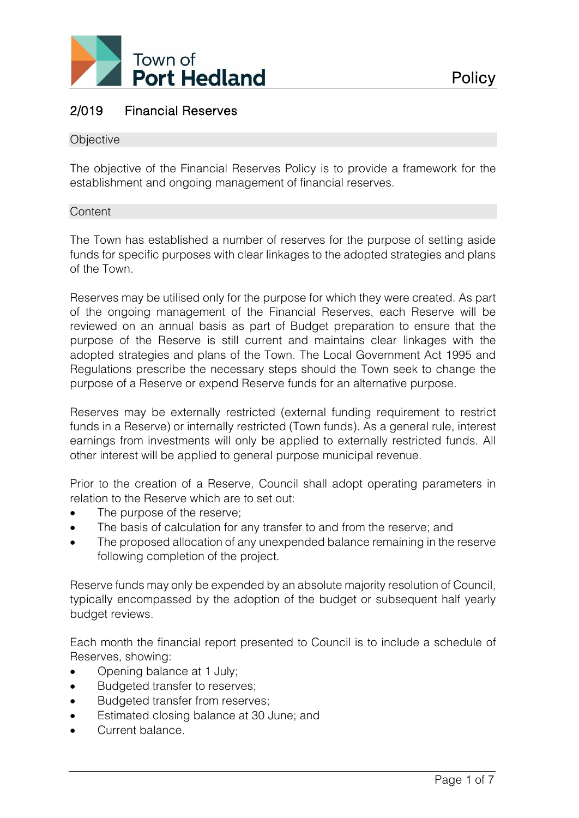

## 2/019 Financial Reserves

#### **Objective**

The objective of the Financial Reserves Policy is to provide a framework for the establishment and ongoing management of financial reserves.

#### **Content**

The Town has established a number of reserves for the purpose of setting aside funds for specific purposes with clear linkages to the adopted strategies and plans of the Town.

Reserves may be utilised only for the purpose for which they were created. As part of the ongoing management of the Financial Reserves, each Reserve will be reviewed on an annual basis as part of Budget preparation to ensure that the purpose of the Reserve is still current and maintains clear linkages with the adopted strategies and plans of the Town. The Local Government Act 1995 and Regulations prescribe the necessary steps should the Town seek to change the purpose of a Reserve or expend Reserve funds for an alternative purpose.

Reserves may be externally restricted (external funding requirement to restrict funds in a Reserve) or internally restricted (Town funds). As a general rule, interest earnings from investments will only be applied to externally restricted funds. All other interest will be applied to general purpose municipal revenue.

Prior to the creation of a Reserve, Council shall adopt operating parameters in relation to the Reserve which are to set out:

- The purpose of the reserve;
- The basis of calculation for any transfer to and from the reserve; and
- The proposed allocation of any unexpended balance remaining in the reserve following completion of the project.

Reserve funds may only be expended by an absolute majority resolution of Council, typically encompassed by the adoption of the budget or subsequent half yearly budget reviews.

Each month the financial report presented to Council is to include a schedule of Reserves, showing:

- Opening balance at 1 July;
- Budgeted transfer to reserves;
- Budgeted transfer from reserves;
- Estimated closing balance at 30 June; and
- Current balance.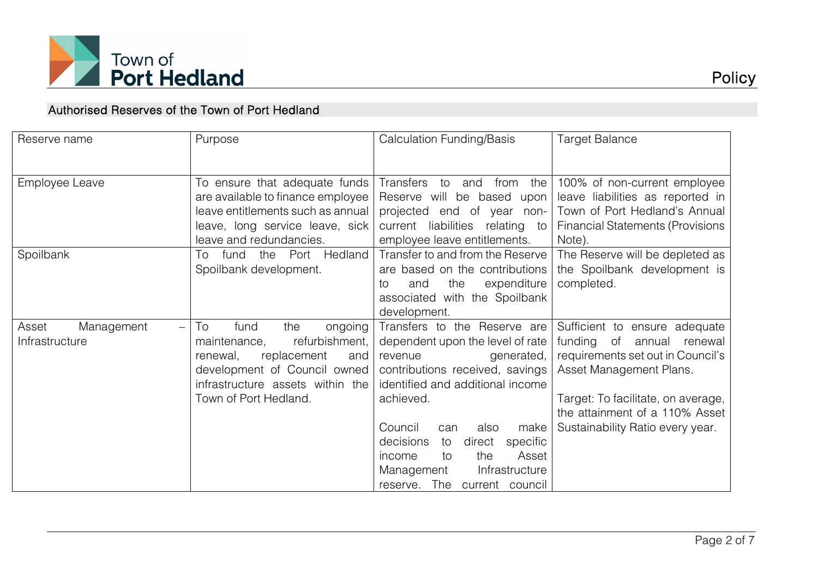

# Authorised Reserves of the Town of Port Hedland

| Reserve name                                               | Purpose                                                                                                                                                                                       | <b>Calculation Funding/Basis</b>                                                                                                                                                                                                                                                                                                                         | Target Balance                                                                                                                                                                                                                            |
|------------------------------------------------------------|-----------------------------------------------------------------------------------------------------------------------------------------------------------------------------------------------|----------------------------------------------------------------------------------------------------------------------------------------------------------------------------------------------------------------------------------------------------------------------------------------------------------------------------------------------------------|-------------------------------------------------------------------------------------------------------------------------------------------------------------------------------------------------------------------------------------------|
|                                                            |                                                                                                                                                                                               |                                                                                                                                                                                                                                                                                                                                                          |                                                                                                                                                                                                                                           |
| Employee Leave                                             | To ensure that adequate funds<br>are available to finance employee<br>leave entitlements such as annual<br>leave, long service leave, sick                                                    | Transfers to<br>from<br>the<br>and<br>Reserve will be based upon<br>projected end of year non-<br>current liabilities relating to                                                                                                                                                                                                                        | 100% of non-current employee<br>leave liabilities as reported in<br>Town of Port Hedland's Annual<br><b>Financial Statements (Provisions</b>                                                                                              |
|                                                            | leave and redundancies.                                                                                                                                                                       | employee leave entitlements.                                                                                                                                                                                                                                                                                                                             | Note).                                                                                                                                                                                                                                    |
| Spoilbank                                                  | Hedland<br>the Port<br>fund<br>To<br>Spoilbank development.                                                                                                                                   | Transfer to and from the Reserve<br>are based on the contributions<br>the<br>expenditure<br>and<br>to<br>associated with the Spoilbank<br>development.                                                                                                                                                                                                   | The Reserve will be depleted as<br>the Spoilbank development is<br>completed.                                                                                                                                                             |
| Asset<br>Management<br>$\qquad \qquad -$<br>Infrastructure | fund<br>the<br>To<br>ongoing<br>refurbishment,<br>maintenance,<br>replacement<br>renewal.<br>and<br>development of Council owned<br>infrastructure assets within the<br>Town of Port Hedland. | Transfers to the Reserve are<br>dependent upon the level of rate<br>revenue<br>generated,<br>contributions received, savings<br>identified and additional income<br>achieved.<br>Council<br>make<br>also<br>can<br>decisions<br>direct<br>specific<br>to<br>Asset<br>the<br>income<br>to<br>Management<br>Infrastructure<br>reserve. The current council | Sufficient to ensure adequate<br>funding of annual<br>renewal<br>requirements set out in Council's<br>Asset Management Plans.<br>Target: To facilitate, on average,<br>the attainment of a 110% Asset<br>Sustainability Ratio every year. |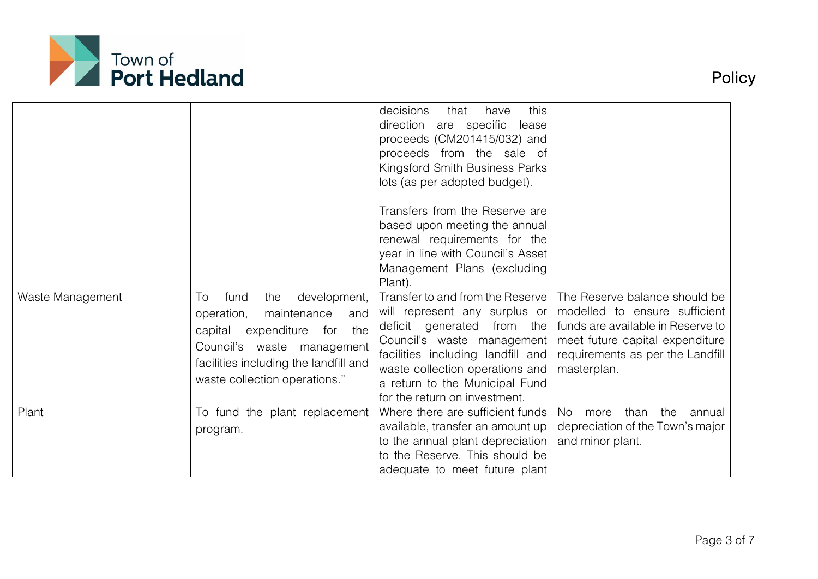

| Waste Management | To<br>fund<br>the<br>development,                                                                                                                                             | decisions<br>this<br>that<br>have<br>direction are specific lease<br>proceeds (CM201415/032) and<br>proceeds from the sale of<br>Kingsford Smith Business Parks<br>lots (as per adopted budget).<br>Transfers from the Reserve are<br>based upon meeting the annual<br>renewal requirements for the<br>year in line with Council's Asset<br>Management Plans (excluding<br>Plant).<br>Transfer to and from the Reserve | The Reserve balance should be                                                                                                                            |
|------------------|-------------------------------------------------------------------------------------------------------------------------------------------------------------------------------|------------------------------------------------------------------------------------------------------------------------------------------------------------------------------------------------------------------------------------------------------------------------------------------------------------------------------------------------------------------------------------------------------------------------|----------------------------------------------------------------------------------------------------------------------------------------------------------|
|                  | maintenance<br>operation,<br>and<br>expenditure for<br>capital<br>the<br>Council's waste management<br>facilities including the landfill and<br>waste collection operations." | will represent any surplus or<br>deficit generated from the<br>Council's waste management<br>facilities including landfill and<br>waste collection operations and<br>a return to the Municipal Fund<br>for the return on investment.                                                                                                                                                                                   | modelled to ensure sufficient<br>funds are available in Reserve to<br>meet future capital expenditure<br>requirements as per the Landfill<br>masterplan. |
| Plant            | To fund the plant replacement<br>program.                                                                                                                                     | Where there are sufficient funds<br>available, transfer an amount up<br>to the annual plant depreciation<br>to the Reserve. This should be<br>adequate to meet future plant                                                                                                                                                                                                                                            | than<br>No<br>the<br>annual<br>more<br>depreciation of the Town's major<br>and minor plant.                                                              |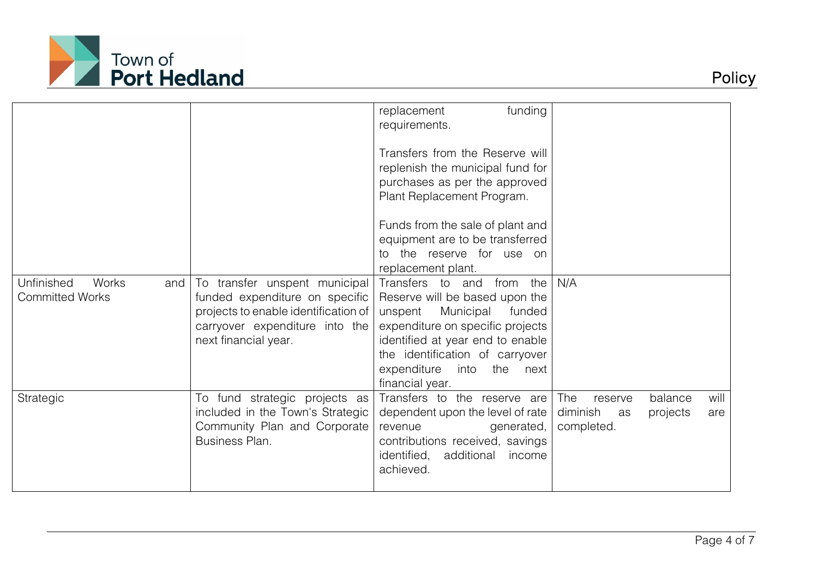

|                                                      |                                                                                                                                                                   | funding<br>replacement<br>requirements.                                                                                                                                                                                                                           |                                                                                      |
|------------------------------------------------------|-------------------------------------------------------------------------------------------------------------------------------------------------------------------|-------------------------------------------------------------------------------------------------------------------------------------------------------------------------------------------------------------------------------------------------------------------|--------------------------------------------------------------------------------------|
|                                                      |                                                                                                                                                                   | Transfers from the Reserve will<br>replenish the municipal fund for<br>purchases as per the approved<br>Plant Replacement Program.                                                                                                                                |                                                                                      |
|                                                      |                                                                                                                                                                   | Funds from the sale of plant and<br>equipment are to be transferred<br>to the reserve for use on<br>replacement plant.                                                                                                                                            |                                                                                      |
| Unfinished<br>Works<br>and<br><b>Committed Works</b> | To transfer unspent municipal<br>funded expenditure on specific<br>projects to enable identification of<br>carryover expenditure into the<br>next financial year. | Transfers to and from the<br>Reserve will be based upon the<br>Municipal<br>unspent<br>funded<br>expenditure on specific projects<br>identified at year end to enable<br>the identification of carryover<br>into<br>expenditure<br>the<br>next<br>financial year. | N/A                                                                                  |
| Strategic                                            | To fund strategic projects as<br>included in the Town's Strategic<br>Community Plan and Corporate<br>Business Plan.                                               | Transfers to the reserve are<br>dependent upon the level of rate<br>revenue<br>generated,<br>contributions received, savings<br>identified,<br>additional<br>income<br>achieved.                                                                                  | The<br>will<br>balance<br>reserve<br>diminish<br>projects<br>as<br>are<br>completed. |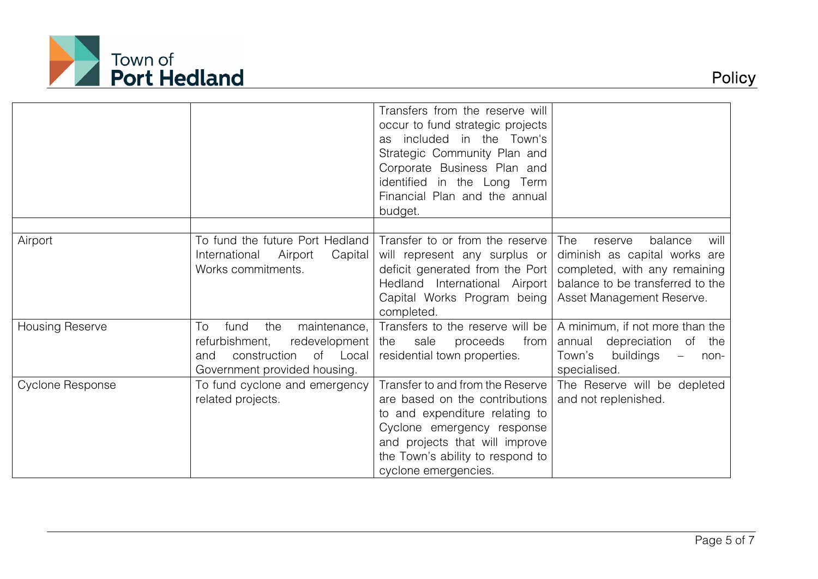

|                        |                                                                                                                                         | Transfers from the reserve will<br>occur to fund strategic projects<br>included in the Town's<br><b>as</b><br>Strategic Community Plan and<br>Corporate Business Plan and<br>identified in the Long Term<br>Financial Plan and the annual<br>budget. |                                                                                                                                                                             |
|------------------------|-----------------------------------------------------------------------------------------------------------------------------------------|------------------------------------------------------------------------------------------------------------------------------------------------------------------------------------------------------------------------------------------------------|-----------------------------------------------------------------------------------------------------------------------------------------------------------------------------|
| Airport                | To fund the future Port Hedland<br>International<br>Airport<br>Capital<br>Works commitments.                                            | Transfer to or from the reserve<br>will represent any surplus or<br>deficit generated from the Port<br>Hedland International Airport<br>Capital Works Program being<br>completed.                                                                    | <b>The</b><br>will<br>balance<br>reserve<br>diminish as capital works are<br>completed, with any remaining<br>balance to be transferred to the<br>Asset Management Reserve. |
| <b>Housing Reserve</b> | To<br>the<br>fund<br>maintenance,<br>redevelopment<br>refurbishment,<br>construction<br>of Local<br>and<br>Government provided housing. | Transfers to the reserve will be<br>sale<br>proceeds<br>from<br>the<br>residential town properties.                                                                                                                                                  | A minimum, if not more than the<br>depreciation of the<br>annual<br>buildings<br>Town's<br>$\overline{\phantom{m}}$<br>non-<br>specialised.                                 |
| Cyclone Response       | To fund cyclone and emergency<br>related projects.                                                                                      | Transfer to and from the Reserve<br>are based on the contributions<br>to and expenditure relating to<br>Cyclone emergency response<br>and projects that will improve<br>the Town's ability to respond to<br>cyclone emergencies.                     | The Reserve will be depleted<br>and not replenished.                                                                                                                        |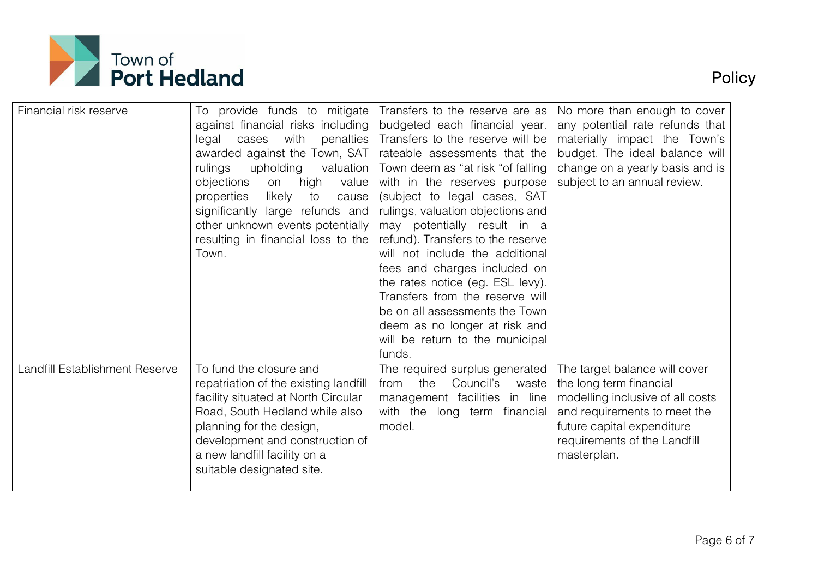

| Financial risk reserve         | against financial risks including<br>with<br>legal<br>cases<br>awarded against the Town, SAT  <br>rulings<br>upholding<br>objections<br>high<br>value<br>on<br>likely<br>properties<br>to<br>cause<br>significantly large refunds and<br>other unknown events potentially<br>resulting in financial loss to the<br>Town. | To provide funds to mitigate Transfers to the reserve are as<br>budgeted each financial year.<br>penalties Transfers to the reserve will be<br>rateable assessments that the<br>valuation   Town deem as "at risk "of falling<br>with in the reserves purpose<br>(subject to legal cases, SAT<br>rulings, valuation objections and<br>may potentially result in a<br>refund). Transfers to the reserve<br>will not include the additional<br>fees and charges included on<br>the rates notice (eg. ESL levy).<br>Transfers from the reserve will<br>be on all assessments the Town<br>deem as no longer at risk and<br>will be return to the municipal<br>funds. | No more than enough to cover<br>any potential rate refunds that<br>materially impact the Town's<br>budget. The ideal balance will<br>change on a yearly basis and is<br>subject to an annual review.      |
|--------------------------------|--------------------------------------------------------------------------------------------------------------------------------------------------------------------------------------------------------------------------------------------------------------------------------------------------------------------------|------------------------------------------------------------------------------------------------------------------------------------------------------------------------------------------------------------------------------------------------------------------------------------------------------------------------------------------------------------------------------------------------------------------------------------------------------------------------------------------------------------------------------------------------------------------------------------------------------------------------------------------------------------------|-----------------------------------------------------------------------------------------------------------------------------------------------------------------------------------------------------------|
| Landfill Establishment Reserve | To fund the closure and<br>repatriation of the existing landfill<br>facility situated at North Circular<br>Road, South Hedland while also<br>planning for the design,<br>development and construction of<br>a new landfill facility on a<br>suitable designated site.                                                    | The required surplus generated<br>Council's<br>the<br>from<br>waste<br>management facilities in line<br>with the long term financial<br>model.                                                                                                                                                                                                                                                                                                                                                                                                                                                                                                                   | The target balance will cover<br>the long term financial<br>modelling inclusive of all costs<br>and requirements to meet the<br>future capital expenditure<br>requirements of the Landfill<br>masterplan. |